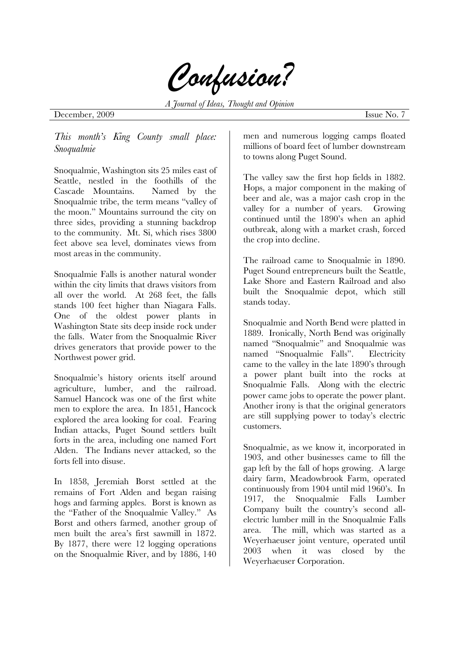

*A Journal of Ideas, Thought and Opinion* 

## December, 2009 Issue No. 7

*This month's King County small place: Snoqualmie* 

Snoqualmie, Washington sits 25 miles east of Seattle, nestled in the foothills of the Cascade Mountains. Named by the Snoqualmie tribe, the term means "valley of the moon." Mountains surround the city on three sides, providing a stunning backdrop to the community. Mt. Si, which rises 3800 feet above sea level, dominates views from most areas in the community.

Snoqualmie Falls is another natural wonder within the city limits that draws visitors from all over the world. At 268 feet, the falls stands 100 feet higher than Niagara Falls. One of the oldest power plants in Washington State sits deep inside rock under the falls. Water from the Snoqualmie River drives generators that provide power to the Northwest power grid.

Snoqualmie's history orients itself around agriculture, lumber, and the railroad. Samuel Hancock was one of the first white men to explore the area. In 1851, Hancock explored the area looking for coal. Fearing Indian attacks, Puget Sound settlers built forts in the area, including one named Fort Alden. The Indians never attacked, so the forts fell into disuse.

In 1858, Jeremiah Borst settled at the remains of Fort Alden and began raising hogs and farming apples. Borst is known as the "Father of the Snoqualmie Valley." As Borst and others farmed, another group of men built the area's first sawmill in 1872. By 1877, there were 12 logging operations on the Snoqualmie River, and by 1886, 140

men and numerous logging camps floated millions of board feet of lumber downstream to towns along Puget Sound.

The valley saw the first hop fields in 1882. Hops, a major component in the making of beer and ale, was a major cash crop in the valley for a number of years. Growing continued until the 1890's when an aphid outbreak, along with a market crash, forced the crop into decline.

The railroad came to Snoqualmie in 1890. Puget Sound entrepreneurs built the Seattle, Lake Shore and Eastern Railroad and also built the Snoqualmie depot, which still stands today.

Snoqualmie and North Bend were platted in 1889. Ironically, North Bend was originally named "Snoqualmie" and Snoqualmie was named "Snoqualmie Falls". Electricity came to the valley in the late 1890's through a power plant built into the rocks at Snoqualmie Falls. Along with the electric power came jobs to operate the power plant. Another irony is that the original generators are still supplying power to today's electric customers.

Snoqualmie, as we know it, incorporated in 1903, and other businesses came to fill the gap left by the fall of hops growing. A large dairy farm, Meadowbrook Farm, operated continuously from 1904 until mid 1960's. In 1917, the Snoqualmie Falls Lumber Company built the country's second allelectric lumber mill in the Snoqualmie Falls area. The mill, which was started as a Weyerhaeuser joint venture, operated until 2003 when it was closed by the Weyerhaeuser Corporation.